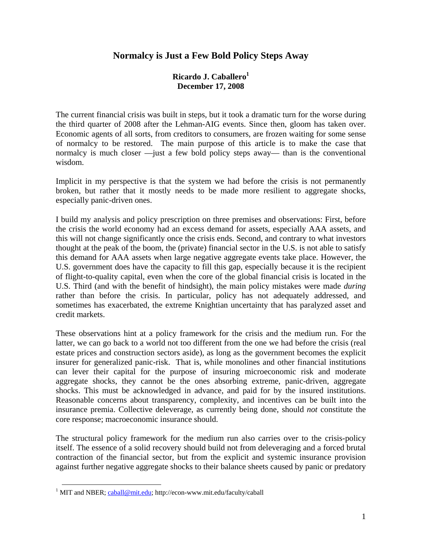## **Normalcy is Just a Few Bold Policy Steps Away**

## **Ricardo J. Caballero1 December 17, 2008**

The current financial crisis was built in steps, but it took a dramatic turn for the worse during the third quarter of 2008 after the Lehman-AIG events. Since then, gloom has taken over. Economic agents of all sorts, from creditors to consumers, are frozen waiting for some sense of normalcy to be restored. The main purpose of this article is to make the case that normalcy is much closer —just a few bold policy steps away— than is the conventional wisdom.

Implicit in my perspective is that the system we had before the crisis is not permanently broken, but rather that it mostly needs to be made more resilient to aggregate shocks, especially panic-driven ones.

I build my analysis and policy prescription on three premises and observations: First, before the crisis the world economy had an excess demand for assets, especially AAA assets, and this will not change significantly once the crisis ends. Second, and contrary to what investors thought at the peak of the boom, the (private) financial sector in the U.S. is not able to satisfy this demand for AAA assets when large negative aggregate events take place. However, the U.S. government does have the capacity to fill this gap, especially because it is the recipient of flight-to-quality capital, even when the core of the global financial crisis is located in the U.S. Third (and with the benefit of hindsight), the main policy mistakes were made *during* rather than before the crisis. In particular, policy has not adequately addressed, and sometimes has exacerbated, the extreme Knightian uncertainty that has paralyzed asset and credit markets.

These observations hint at a policy framework for the crisis and the medium run. For the latter, we can go back to a world not too different from the one we had before the crisis (real estate prices and construction sectors aside), as long as the government becomes the explicit insurer for generalized panic-risk. That is, while monolines and other financial institutions can lever their capital for the purpose of insuring microeconomic risk and moderate aggregate shocks, they cannot be the ones absorbing extreme, panic-driven, aggregate shocks. This must be acknowledged in advance, and paid for by the insured institutions. Reasonable concerns about transparency, complexity, and incentives can be built into the insurance premia. Collective deleverage, as currently being done, should *not* constitute the core response; macroeconomic insurance should.

The structural policy framework for the medium run also carries over to the crisis-policy itself. The essence of a solid recovery should build not from deleveraging and a forced brutal contraction of the financial sector, but from the explicit and systemic insurance provision against further negative aggregate shocks to their balance sheets caused by panic or predatory

<sup>&</sup>lt;sup>1</sup> MIT and NBER; caball@mit.edu; http://econ-www.mit.edu/faculty/caball